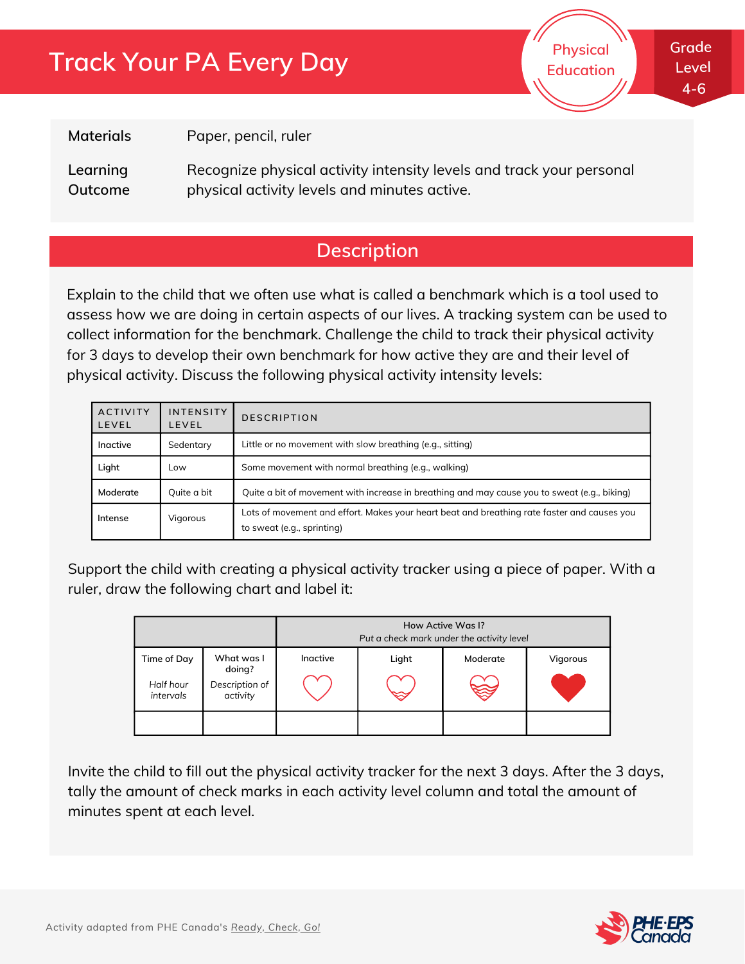# **Track Your PA Every Day**



**Grade Level 4-6**

**Materials**

Paper, pencil, ruler

Recognize physical activity intensity levels and track your personal physical activity levels and minutes active. **Learning Outcome**

## **Description**

Explain to the child that we often use what is called a benchmark which is a tool used to assess how we are doing in certain aspects of our lives. A tracking system can be used to collect information for the benchmark. Challenge the child to track their physical activity for 3 days to develop their own benchmark for how active they are and their level of physical activity. Discuss the following physical activity intensity levels:

| <b>ACTIVITY</b><br>LEVEL | <b>INTENSITY</b><br><b>LEVEL</b> | <b>DESCRIPTION</b>                                                                                                        |  |
|--------------------------|----------------------------------|---------------------------------------------------------------------------------------------------------------------------|--|
| Inactive                 | Sedentary                        | Little or no movement with slow breathing (e.g., sitting)                                                                 |  |
| Light                    | Low                              | Some movement with normal breathing (e.g., walking)                                                                       |  |
| Moderate                 | Quite a bit                      | Quite a bit of movement with increase in breathing and may cause you to sweat (e.g., biking)                              |  |
| Intense                  | Vigorous                         | Lots of movement and effort. Makes your heart beat and breathing rate faster and causes you<br>to sweat (e.g., sprinting) |  |

Support the child with creating a physical activity tracker using a piece of paper. With a ruler, draw the following chart and label it:

|                                       |                                                    | How Active Was I?<br>Put a check mark under the activity level |       |          |          |
|---------------------------------------|----------------------------------------------------|----------------------------------------------------------------|-------|----------|----------|
| Time of Day<br>Half hour<br>intervals | What was I<br>doing?<br>Description of<br>activity | Inactive                                                       | Light | Moderate | Vigorous |
|                                       |                                                    |                                                                |       |          |          |

Invite the child to fill out the physical activity tracker for the next 3 days. After the 3 days, tally the amount of check marks in each activity level column and total the amount of minutes spent at each level.

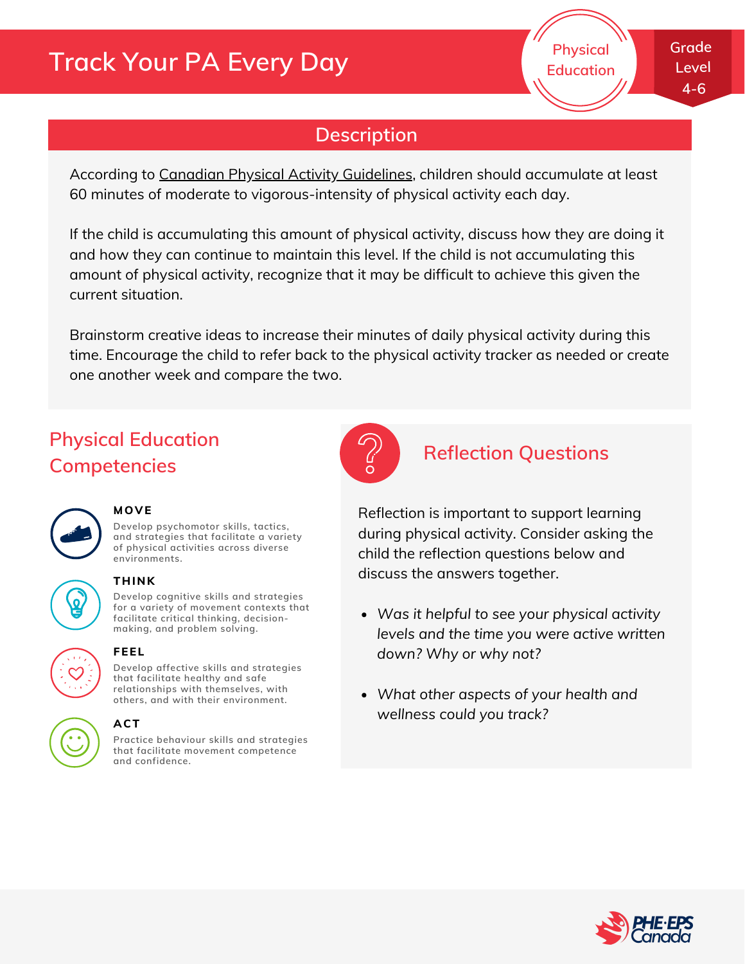# **Track Your PA Every Day**

## **Description**

According to Canadian Physical Activity [Guidelines](http://www.csep.ca/CMFiles/Guidelines/bcfiles/BC_CSEP_PAGuidelines_child_en.pdf), children should accumulate at least 60 minutes of moderate to vigorous-intensity of physical activity each day.

If the child is accumulating this amount of physical activity, discuss how they are doing it and how they can continue to maintain this level. If the child is not accumulating this amount of physical activity, recognize that it may be difficult to achieve this given the current situation.

Brainstorm creative ideas to increase their minutes of daily physical activity during this time. Encourage the child to refer back to the physical activity tracker as needed or create one another week and compare the two.

## **Physical Education Competencies**



#### **MOVE**

**Develop psychomotor skills, tactics, and strategies that facilitate a variety of physical activities across diverse environments.**



#### **THINK**

**Develop cognitive skills and strategies for a variety of movement contexts that facilitate critical thinking, decision making, and problem solving.**



#### **FEEL**

**Develop affective skills and strategies that facilitate healthy and safe relationships with themselves, with others, and with their environment.**

#### **ACT**

**Practice behaviour skills and strategies that facilitate movement competence and confidence.**



#### **Reflection Questions**

Reflection is important to support learning during physical activity. Consider asking the child the reflection questions below and discuss the answers together.

- *Was it helpful to see your physical activity levels and the time you were active written down? Why or why not?*
- *What other aspects of your health and wellness could you track?*